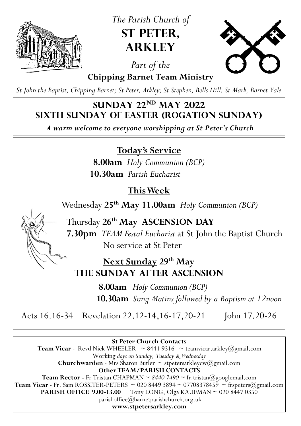

*The Parish Church of*  **St Peter, Arkley**



*Part of the*  **Chipping Barnet Team Ministry**

*St John the Baptist, Chipping Barnet; St Peter, Arkley; St Stephen, Bells Hill; St Mark, Barnet Vale*

## **Sunday 22nd May 2022 Sixth Sunday of Easter (Rogation Sunday)**

*A warm welcome to everyone worshipping at St Peter's Church*

**Today's Service**

**8.00am** *Holy Communion (BCP)* **10.30am** *Parish Eucharist*

# **This Week**

Wednesday **25th May 11.00am** *Holy Communion (BCP)*

Thursday **26th May ASCENSION DAY 7.30pm** *TEAM Festal Eucharist* at St John the Baptist Church No service at St Peter

**Next Sunday 29th May the Sunday after ascension**

> **8.00am** *Holy Communion (BCP)*  **10.30am** *Sung Matins followed by a Baptism at 12noon*

Acts 16.16-34 Revelation 22.12-14, 16-17, 20-21 John 17.20-26

**St Peter Church Contacts Team Vicar** - Revd Nick WHEELER  $\sim$  8441 9316  $\sim$  teamvicar.arkley@gmail.com Working *days on Sunday, Tuesday & Wednesday* **Churchwarden** - Mrs Sharon Butler  $\sim$  stpetersarkleycw( $\omega$ gmail.com **Other TEAM/PARISH CONTACTS Team Rector -** Fr Tristan CHAPMAN ~ *8440 7490* ~ fr.tristan@googlemail.com **Team Vicar** - Fr. Sam ROSSITER-PETERS  $\sim$  020 8449 3894  $\sim$  07708378459  $\sim$  frspeters( $\widehat{a}$ )gmail.com **PARISH OFFICE 9.00-13.00** Tony LONG, Olga KAUFMAN ~ 020 8447 0350 parishoffice@barnetparishchurch.org.uk **[www.stpetersarkley.com](https://www.stpetersarkley.com/)**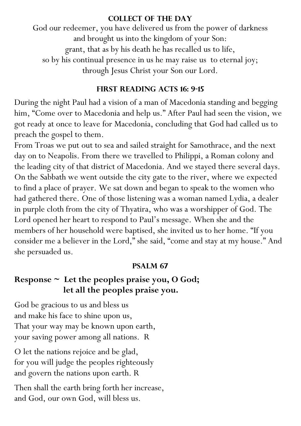#### **Collect of the Day**

God our redeemer, you have delivered us from the power of darkness and brought us into the kingdom of your Son: grant, that as by his death he has recalled us to life, so by his continual presence in us he may raise us to eternal joy; through Jesus Christ your Son our Lord.

### **First Reading Acts 16: 9-15**

During the night Paul had a vision of a man of Macedonia standing and begging him, "Come over to Macedonia and help us." After Paul had seen the vision, we got ready at once to leave for Macedonia, concluding that God had called us to preach the gospel to them.

From Troas we put out to sea and sailed straight for Samothrace, and the next day on to Neapolis. From there we travelled to Philippi, a Roman colony and the leading city of that district of Macedonia. And we stayed there several days. On the Sabbath we went outside the city gate to the river, where we expected to find a place of prayer. We sat down and began to speak to the women who had gathered there. One of those listening was a woman named Lydia, a dealer in purple cloth from the city of Thyatira, who was a worshipper of God. The Lord opened her heart to respond to Paul's message. When she and the members of her household were baptised, she invited us to her home. "If you consider me a believer in the Lord," she said, "come and stay at my house." And she persuaded us.

### **Psalm 67**

## **Response ~ Let the peoples praise you, O God; let all the peoples praise you.**

God be gracious to us and bless us and make his face to shine upon us, That your way may be known upon earth, your saving power among all nations. R

O let the nations rejoice and be glad, for you will judge the peoples righteously and govern the nations upon earth. R

Then shall the earth bring forth her increase, and God, our own God, will bless us.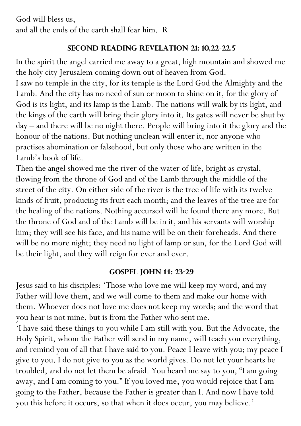God will bless us, and all the ends of the earth shall fear him. R

### **Second Reading Revelation 21: 10,22-22.5**

In the spirit the angel carried me away to a great, high mountain and showed me the holy city Jerusalem coming down out of heaven from God.

I saw no temple in the city, for its temple is the Lord God the Almighty and the Lamb. And the city has no need of sun or moon to shine on it, for the glory of God is its light, and its lamp is the Lamb. The nations will walk by its light, and the kings of the earth will bring their glory into it. Its gates will never be shut by day – and there will be no night there. People will bring into it the glory and the honour of the nations. But nothing unclean will enter it, nor anyone who practises abomination or falsehood, but only those who are written in the Lamb's book of life.

Then the angel showed me the river of the water of life, bright as crystal, flowing from the throne of God and of the Lamb through the middle of the street of the city. On either side of the river is the tree of life with its twelve kinds of fruit, producing its fruit each month; and the leaves of the tree are for the healing of the nations. Nothing accursed will be found there any more. But the throne of God and of the Lamb will be in it, and his servants will worship him; they will see his face, and his name will be on their foreheads. And there will be no more night; they need no light of lamp or sun, for the Lord God will be their light, and they will reign for ever and ever.

### **Gospel John 14: 23-29**

Jesus said to his disciples: 'Those who love me will keep my word, and my Father will love them, and we will come to them and make our home with them. Whoever does not love me does not keep my words; and the word that you hear is not mine, but is from the Father who sent me.

'I have said these things to you while I am still with you. But the Advocate, the Holy Spirit, whom the Father will send in my name, will teach you everything, and remind you of all that I have said to you. Peace I leave with you; my peace I give to you. I do not give to you as the world gives. Do not let your hearts be troubled, and do not let them be afraid. You heard me say to you, "I am going away, and I am coming to you." If you loved me, you would rejoice that I am going to the Father, because the Father is greater than I. And now I have told you this before it occurs, so that when it does occur, you may believe.'